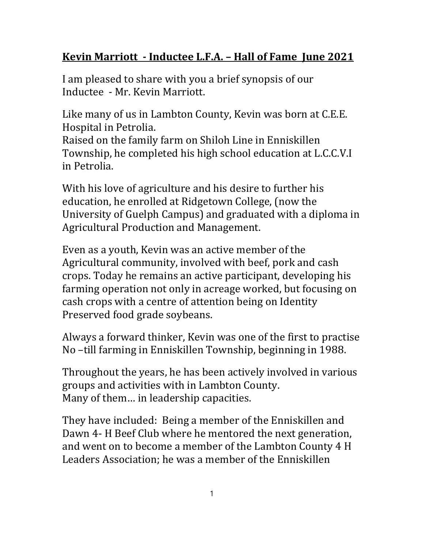## **Kevin Marriott ‐ Inductee L.F.A. – Hall of Fame June 2021**

I am pleased to share with you a brief synopsis of our Inductee - Mr. Kevin Marriott.

Like many of us in Lambton County, Kevin was born at C.E.E. Hospital in Petrolia.

Raised on the family farm on Shiloh Line in Enniskillen Township, he completed his high school education at L.C.C.V.I in Petrolia.

With his love of agriculture and his desire to further his education, he enrolled at Ridgetown College, (now the University of Guelph Campus) and graduated with a diploma in Agricultural Production and Management.

Even as a youth, Kevin was an active member of the Agricultural community, involved with beef, pork and cash crops. Today he remains an active participant, developing his farming operation not only in acreage worked, but focusing on cash crops with a centre of attention being on Identity Preserved food grade soybeans.

Always a forward thinker, Kevin was one of the first to practise No –till farming in Enniskillen Township, beginning in 1988.

Throughout the years, he has been actively involved in various groups and activities with in Lambton County. Many of them… in leadership capacities.

They have included: Being a member of the Enniskillen and Dawn 4- H Beef Club where he mentored the next generation, and went on to become a member of the Lambton County 4 H Leaders Association; he was a member of the Enniskillen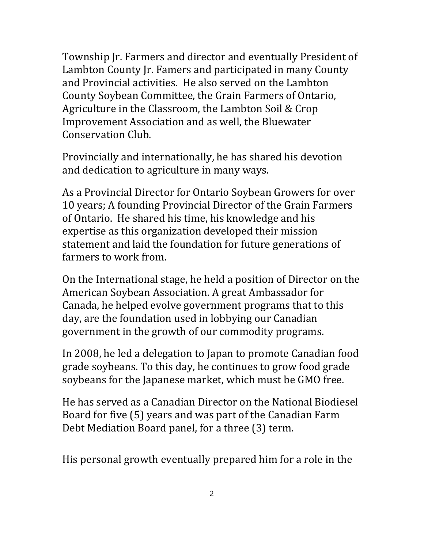Township Jr. Farmers and director and eventually President of Lambton County Jr. Famers and participated in many County and Provincial activities. He also served on the Lambton County Soybean Committee, the Grain Farmers of Ontario, Agriculture in the Classroom, the Lambton Soil & Crop Improvement Association and as well, the Bluewater Conservation Club.

Provincially and internationally, he has shared his devotion and dedication to agriculture in many ways.

As a Provincial Director for Ontario Soybean Growers for over 10 years; A founding Provincial Director of the Grain Farmers of Ontario. He shared his time, his knowledge and his expertise as this organization developed their mission statement and laid the foundation for future generations of farmers to work from.

On the International stage, he held a position of Director on the American Soybean Association. A great Ambassador for Canada, he helped evolve government programs that to this day, are the foundation used in lobbying our Canadian government in the growth of our commodity programs.

In 2008, he led a delegation to Japan to promote Canadian food grade soybeans. To this day, he continues to grow food grade soybeans for the Japanese market, which must be GMO free.

He has served as a Canadian Director on the National Biodiesel Board for five (5) years and was part of the Canadian Farm Debt Mediation Board panel, for a three (3) term.

His personal growth eventually prepared him for a role in the